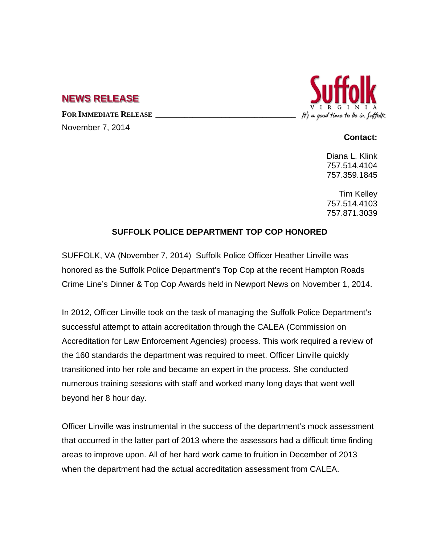## **NEWS RELEASE**

FOR IMMEDIATE RELEASE

November 7, 2014



## **Contact:**

Diana L. Klink 757.514.4104 757.359.1845

Tim Kelley 757.514.4103 757.871.3039

## **SUFFOLK POLICE DEPARTMENT TOP COP HONORED**

SUFFOLK, VA (November 7, 2014) Suffolk Police Officer Heather Linville was honored as the Suffolk Police Department's Top Cop at the recent Hampton Roads Crime Line's Dinner & Top Cop Awards held in Newport News on November 1, 2014.

In 2012, Officer Linville took on the task of managing the Suffolk Police Department's successful attempt to attain accreditation through the CALEA (Commission on Accreditation for Law Enforcement Agencies) process. This work required a review of the 160 standards the department was required to meet. Officer Linville quickly transitioned into her role and became an expert in the process. She conducted numerous training sessions with staff and worked many long days that went well beyond her 8 hour day.

Officer Linville was instrumental in the success of the department's mock assessment that occurred in the latter part of 2013 where the assessors had a difficult time finding areas to improve upon. All of her hard work came to fruition in December of 2013 when the department had the actual accreditation assessment from CALEA.